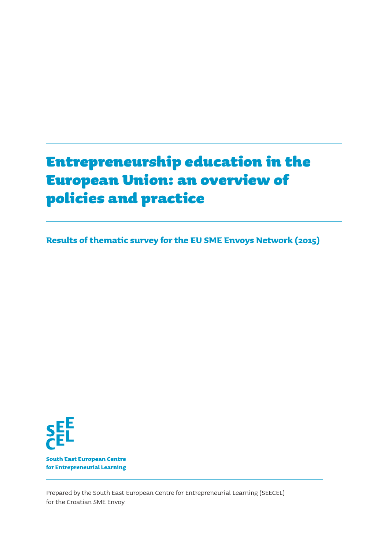# Entrepreneurship education in the European Union: an overview of policies and practice

**Results of thematic survey for the EU SME Envoys Network (2015)**



**South East European Centre** for Entrepreneurial Learning

Prepared by the South East European Centre for Entrepreneurial Learning (SEECEL) for the Croatian SME Envoy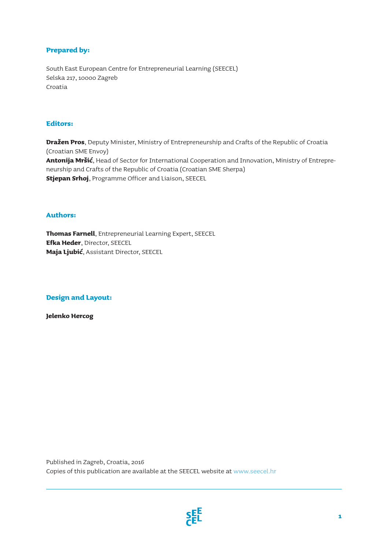### **Prepared by:**

South East European Centre for Entrepreneurial Learning (SEECEL) Selska 217, 10000 Zagreb Croatia

#### **Editors:**

**Dražen Pros**, Deputy Minister, Ministry of Entrepreneurship and Crafts of the Republic of Croatia (Croatian SME Envoy) **Antonija Mršić**, Head of Sector for International Cooperation and Innovation, Ministry of Entrepreneurship and Crafts of the Republic of Croatia (Croatian SME Sherpa) **Stjepan Srhoj**, Programme Officer and Liaison, SEECEL

#### **Authors:**

**Thomas Farnell**, Entrepreneurial Learning Expert, SEECEL **Efka Heder**, Director, SEECEL **Maja Ljubić**, Assistant Director, SEECEL

#### **Design and Layout:**

**Jelenko Hercog**

Published in Zagreb, Croatia, 2016 Copies of this publication are available at the SEECEL website at www.seecel.hr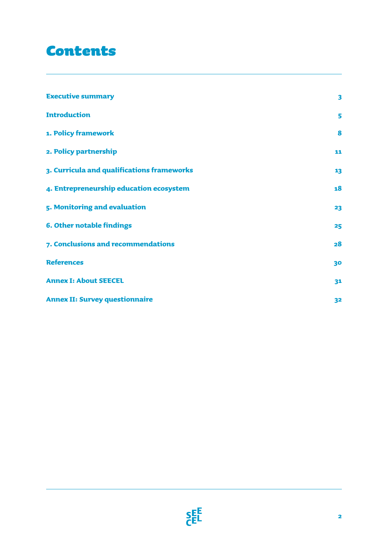## Contents

| <b>Executive summary</b>                   | $\overline{\mathbf{3}}$ |
|--------------------------------------------|-------------------------|
| <b>Introduction</b>                        | 5                       |
| 1. Policy framework                        | 8                       |
| 2. Policy partnership                      | 11                      |
| 3. Curricula and qualifications frameworks | 13                      |
| 4. Entrepreneurship education ecosystem    | 18                      |
| 5. Monitoring and evaluation               | 23                      |
| <b>6. Other notable findings</b>           | 25                      |
| 7. Conclusions and recommendations         | 28                      |
| <b>References</b>                          | 30                      |
| <b>Annex I: About SEECEL</b>               | 31                      |
| <b>Annex II: Survey questionnaire</b>      | 32                      |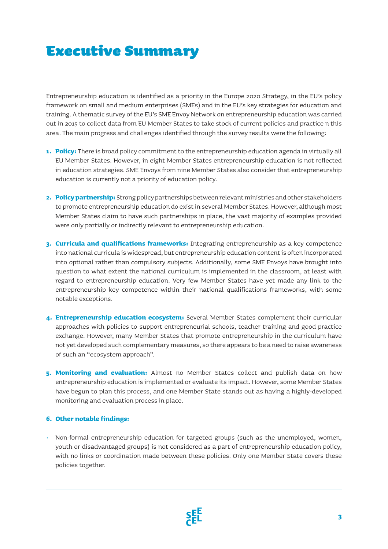## Executive Summary

Entrepreneurship education is identified as a priority in the Europe 2020 Strategy, in the EU's policy framework on small and medium enterprises (SMEs) and in the EU's key strategies for education and training. A thematic survey of the EU's SME Envoy Network on entrepreneurship education was carried out in 2015 to collect data from EU Member States to take stock of current policies and practice n this area. The main progress and challenges identified through the survey results were the following:

- **1. Policy:** There is broad policy commitment to the entrepreneurship education agenda in virtually all EU Member States. However, in eight Member States entrepreneurship education is not reflected in education strategies. SME Envoys from nine Member States also consider that entrepreneurship education is currently not a priority of education policy.
- **2. Policy partnership:** Strong policy partnerships between relevant ministries and other stakeholders to promote entrepreneurship education do exist in several Member States. However, although most Member States claim to have such partnerships in place, the vast majority of examples provided were only partially or indirectly relevant to entrepreneurship education.
- **3. Curricula and qualifications frameworks:** Integrating entrepreneurship as a key competence into national curricula is widespread, but entrepreneurship education content is often incorporated into optional rather than compulsory subjects. Additionally, some SME Envoys have brought into question to what extent the national curriculum is implemented in the classroom, at least with regard to entrepreneurship education. Very few Member States have yet made any link to the entrepreneurship key competence within their national qualifications frameworks, with some notable exceptions.
- **4. Entrepreneurship education ecosystem:** Several Member States complement their curricular approaches with policies to support entrepreneurial schools, teacher training and good practice exchange. However, many Member States that promote entrepreneurship in the curriculum have not yet developed such complementary measures, so there appears to be a need to raise awareness of such an "ecosystem approach".
- **5. Monitoring and evaluation:** Almost no Member States collect and publish data on how entrepreneurship education is implemented or evaluate its impact. However, some Member States have begun to plan this process, and one Member State stands out as having a highly-developed monitoring and evaluation process in place.

#### **6. Other notable findings:**

• Non-formal entrepreneurship education for targeted groups (such as the unemployed, women, youth or disadvantaged groups) is not considered as a part of entrepreneurship education policy, with no links or coordination made between these policies. Only one Member State covers these policies together.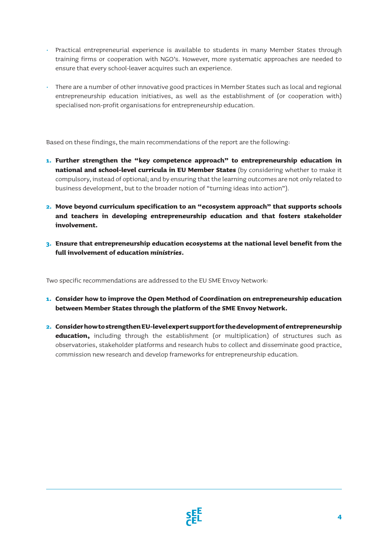- Practical entrepreneurial experience is available to students in many Member States through training firms or cooperation with NGO's. However, more systematic approaches are needed to ensure that every school-leaver acquires such an experience.
- There are a number of other innovative good practices in Member States such as local and regional entrepreneurship education initiatives, as well as the establishment of (or cooperation with) specialised non-profit organisations for entrepreneurship education.

Based on these findings, the main recommendations of the report are the following:

- **1. Further strengthen the "key competence approach" to entrepreneurship education in national and school-level curricula in EU Member States** (by considering whether to make it compulsory, instead of optional; and by ensuring that the learning outcomes are not only related to business development, but to the broader notion of "turning ideas into action").
- **2. Move beyond curriculum specification to an "ecosystem approach" that supports schools and teachers in developing entrepreneurship education and that fosters stakeholder involvement.**
- **3. Ensure that entrepreneurship education ecosystems at the national level benefit from the full involvement of education** *ministries.*

Two specific recommendations are addressed to the EU SME Envoy Network:

- **1. Consider how to improve the Open Method of Coordination on entrepreneurship education between Member States through the platform of the SME Envoy Network.**
- **2. Consider how to strengthen EU-level expert support for the development of entrepreneurship education,** including through the establishment (or multiplication) of structures such as observatories, stakeholder platforms and research hubs to collect and disseminate good practice, commission new research and develop frameworks for entrepreneurship education.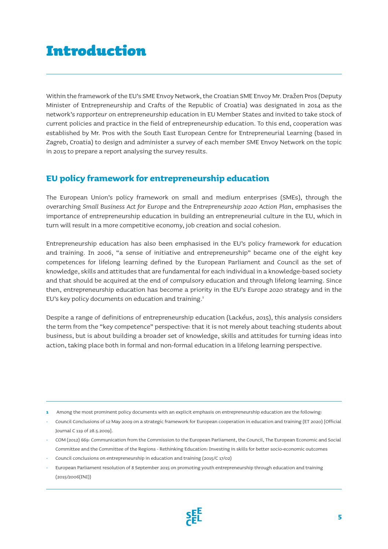## Introduction

Within the framework of the EU's SME Envoy Network, the Croatian SME Envoy Mr. Dražen Pros (Deputy Minister of Entrepreneurship and Crafts of the Republic of Croatia) was designated in 2014 as the network's *rapporteur* on entrepreneurship education in EU Member States and invited to take stock of current policies and practice in the field of entrepreneurship education. To this end, cooperation was established by Mr. Pros with the South East European Centre for Entrepreneurial Learning (based in Zagreb, Croatia) to design and administer a survey of each member SME Envoy Network on the topic in 2015 to prepare a report analysing the survey results.

### **EU policy framework for entrepreneurship education**

The European Union's policy framework on small and medium enterprises (SMEs), through the overarching *Small Business Act for Europe* and the *Entrepreneurship 2020 Action Plan*, emphasises the importance of entrepreneurship education in building an entrepreneurial culture in the EU, which in turn will result in a more competitive economy, job creation and social cohesion.

Entrepreneurship education has also been emphasised in the EU's policy framework for education and training. In 2006, "a sense of initiative and entrepreneurship" became one of the eight key competences for lifelong learning defined by the European Parliament and Council as the set of knowledge, skills and attitudes that are fundamental for each individual in a knowledge-based society and that should be acquired at the end of compulsory education and through lifelong learning. Since then, entrepreneurship education has become a priority in the EU's *Europe 2020* strategy and in the EU's key policy documents on education and training.<sup>1</sup>

Despite a range of definitions of entrepreneurship education (Lackéus, 2015), this analysis considers the term from the "key competence" perspective: that it is not merely about teaching students about business, but is about building a broader set of knowledge, skills and attitudes for turning ideas into action, taking place both in formal and non-formal education in a lifelong learning perspective.

- **1** Among the most prominent policy documents with an explicit emphasis on entrepreneurship education are the following:
- Council Conclusions of 12 May 2009 on a strategic framework for European cooperation in education and training (ET 2020) [Official Journal C 119 of 28.5.2009].
- COM (2012) 669: Communication from the Commission to the European Parliament, the Council, The European Economic and Social Committee and the Committee of the Regions - Rethinking Education: Investing in skills for better socio-economic outcomes
- Council conclusions on entrepreneurship in education and training (2015/C 17/02)
- European Parliament resolution of 8 September 2015 on promoting youth entrepreneurship through education and training (2015/2006(INI))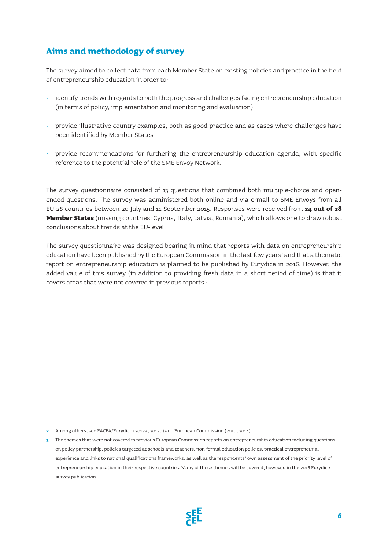## **Aims and methodology of survey**

The survey aimed to collect data from each Member State on existing policies and practice in the field of entrepreneurship education in order to:

- identify trends with regards to both the progress and challenges facing entrepreneurship education (in terms of policy, implementation and monitoring and evaluation)
- provide illustrative country examples, both as good practice and as cases where challenges have been identified by Member States
- provide recommendations for furthering the entrepreneurship education agenda, with specific reference to the potential role of the SME Envoy Network.

The survey questionnaire consisted of 13 questions that combined both multiple-choice and openended questions. The survey was administered both online and via e-mail to SME Envoys from all EU-28 countries between 20 July and 11 September 2015. Responses were received from **24 out of 28 Member States** (missing countries: Cyprus, Italy, Latvia, Romania), which allows one to draw robust conclusions about trends at the EU-level.

The survey questionnaire was designed bearing in mind that reports with data on entrepreneurship education have been published by the European Commission in the last few years<sup>2</sup> and that a thematic report on entrepreneurship education is planned to be published by Eurydice in 2016. However, the added value of this survey (in addition to providing fresh data in a short period of time) is that it covers areas that were not covered in previous reports.3

**2** Among others, see EACEA/Eurydice (2012a, 2012b) and European Commission (2010, 2014).

**3** The themes that were not covered in previous European Commission reports on entrepreneurship education including questions on policy partnership, policies targeted at schools and teachers, non-formal education policies, practical entrepreneurial experience and links to national qualifications frameworks, as well as the respondents' own assessment of the priority level of entrepreneurship education in their respective countries. Many of these themes will be covered, however, in the 2016 Eurydice survey publication.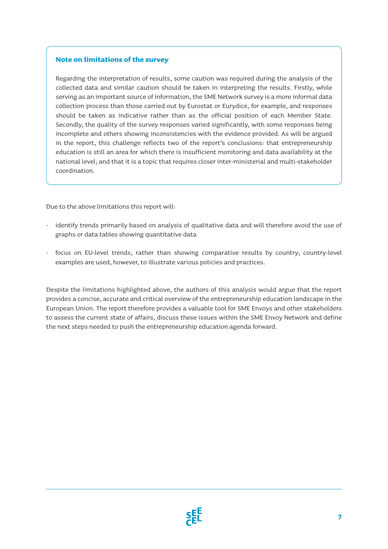### **Note on limitations of the survey**

Regarding the interpretation of results, some caution was required during the analysis of the collected data and similar caution should be taken in interpreting the results. Firstly, while serving as an important source of information, the SME Network survey is a more informal data collection process than those carried out by Eurostat or Eurydice, for example, and responses should be taken as indicative rather than as the official position of each Member State. Secondly, the quality of the survey responses varied significantly, with some responses being incomplete and others showing inconsistencies with the evidence provided. As will be argued in the report, this challenge reflects two of the report's conclusions: that entrepreneurship education is still an area for which there is insufficient monitoring and data availability at the national level; and that it is a topic that requires closer inter-ministerial and multi-stakeholder coordination.

Due to the above limitations this report will:

- identify trends primarily based on analysis of qualitative data and will therefore avoid the use of graphs or data tables showing quantitative data
- focus on EU-level trends, rather than showing comparative results by country; country-level examples are used, however, to illustrate various policies and practices.

Despite the limitations highlighted above, the authors of this analysis would argue that the report provides a concise, accurate and critical overview of the entrepreneurship education landscape in the European Union. The report therefore provides a valuable tool for SME Envoys and other stakeholders to assess the current state of affairs, discuss these issues within the SME Envoy Network and define the next steps needed to push the entrepreneurship education agenda forward.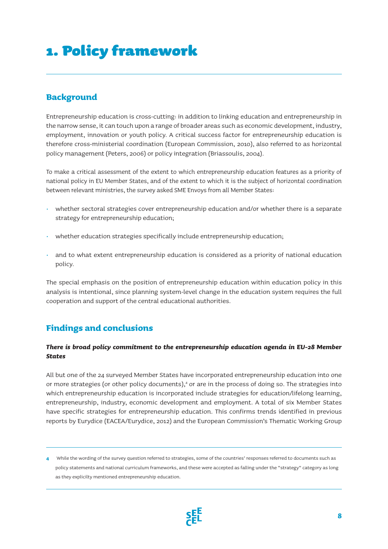## 1. Policy framework

## **Background**

Entrepreneurship education is cross-cutting: in addition to linking education and entrepreneurship in the narrow sense, it can touch upon a range of broader areas such as economic development, industry, employment, innovation or youth policy. A critical success factor for entrepreneurship education is therefore cross-ministerial coordination (European Commission, 2010), also referred to as horizontal policy management (Peters, 2006) or policy integration (Briassoulis, 2004).

To make a critical assessment of the extent to which entrepreneurship education features as a priority of national policy in EU Member States, and of the extent to which it is the subject of horizontal coordination between relevant ministries, the survey asked SME Envoys from all Member States:

- whether sectoral strategies cover entrepreneurship education and/or whether there is a separate strategy for entrepreneurship education;
- whether education strategies specifically include entrepreneurship education;
- and to what extent entrepreneurship education is considered as a priority of national education policy.

The special emphasis on the position of entrepreneurship education within education policy in this analysis is intentional, since planning system-level change in the education system requires the full cooperation and support of the central educational authorities.

### **Findings and conclusions**

### *There is broad policy commitment to the entrepreneurship education agenda in EU-28 Member States*

All but one of the 24 surveyed Member States have incorporated entrepreneurship education into one or more strategies (or other policy documents),<sup>4</sup> or are in the process of doing so. The strategies into which entrepreneurship education is incorporated include strategies for education/lifelong learning, entrepreneurship, industry, economic development and employment. A total of six Member States have specific strategies for entrepreneurship education. This confirms trends identified in previous reports by Eurydice (EACEA/Eurydice, 2012) and the European Commission's Thematic Working Group

**<sup>4</sup>** While the wording of the survey question referred to strategies, some of the countries' responses referred to documents such as policy statements and national curriculum frameworks, and these were accepted as falling under the "strategy" category as long as they explicilty mentioned entrepreneurship education.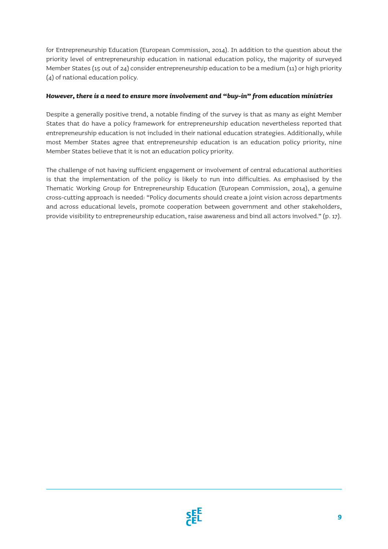for Entrepreneurship Education (European Commission, 2014). In addition to the question about the priority level of entrepreneurship education in national education policy, the majority of surveyed Member States (15 out of 24) consider entrepreneurship education to be a medium (11) or high priority (4) of national education policy.

#### *However, there is a need to ensure more involvement and "buy-in" from education ministries*

Despite a generally positive trend, a notable finding of the survey is that as many as eight Member States that do have a policy framework for entrepreneurship education nevertheless reported that entrepreneurship education is not included in their national education strategies. Additionally, while most Member States agree that entrepreneurship education is an education policy priority, nine Member States believe that it is not an education policy priority.

The challenge of not having sufficient engagement or involvement of central educational authorities is that the implementation of the policy is likely to run into difficulties. As emphasised by the Thematic Working Group for Entrepreneurship Education (European Commission, 2014), a genuine cross-cutting approach is needed: "Policy documents should create a joint vision across departments and across educational levels, promote cooperation between government and other stakeholders, provide visibility to entrepreneurship education, raise awareness and bind all actors involved." (p. 17).

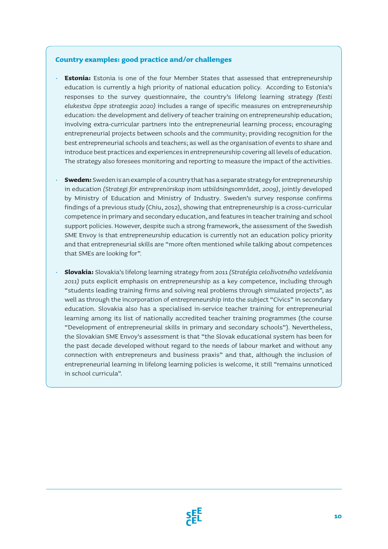#### **Country examples: good practice and/or challenges**

- **Estonia:** Estonia is one of the four Member States that assessed that entrepreneurship education is currently a high priority of national education policy. According to Estonia's responses to the survey questionnaire, the country's lifelong learning strategy *(Eesti elukestva õppe strateegia 2020)* includes a range of specific measures on entrepreneurship education: the development and delivery of teacher training on entrepreneurship education; involving extra-curricular partners into the entrepreneurial learning process; encouraging entrepreneurial projects between schools and the community; providing recognition for the best entrepreneurial schools and teachers; as well as the organisation of events to share and introduce best practices and experiences in entrepreneurship covering all levels of education. The strategy also foresees monitoring and reporting to measure the impact of the activities.
- **Sweden:** Sweden is an example of a country that has a separate strategy for entrepreneurship in education *(Strategi för entreprenörskap inom utbildningsområdet, 2009),* jointly developed by Ministry of Education and Ministry of Industry. Sweden's survey response confirms findings of a previous study (Chiu, 2012), showing that entrepreneurship is a cross-curricular competence in primary and secondary education, and features in teacher training and school support policies. However, despite such a strong framework, the assessment of the Swedish SME Envoy is that entrepreneurship education is currently not an education policy priority and that entrepreneurial skills are "more often mentioned while talking about competences that SMEs are looking for".
- **Slovakia:** Slovakia's lifelong learning strategy from 2011 *(Stratégia celoživotného vzdelávania 2011)* puts explicit emphasis on entrepreneurship as a key competence, including through "students leading training firms and solving real problems through simulated projects", as well as through the incorporation of entrepreneurship into the subject "Civics" in secondary education. Slovakia also has a specialised in-service teacher training for entrepreneurial learning among its list of nationally accredited teacher training programmes (the course "Development of entrepreneurial skills in primary and secondary schools"). Nevertheless, the Slovakian SME Envoy's assessment is that "the Slovak educational system has been for the past decade developed without regard to the needs of labour market and without any connection with entrepreneurs and business praxis" and that, although the inclusion of entrepreneurial learning in lifelong learning policies is welcome, it still "remains unnoticed in school curricula".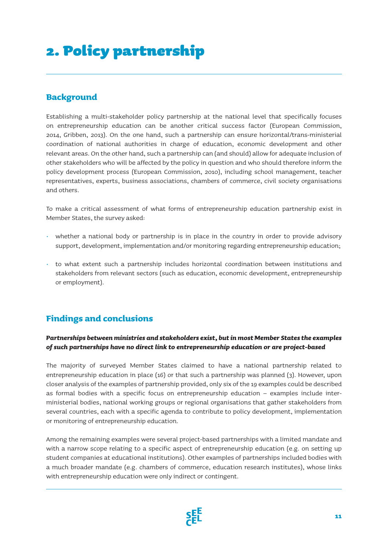# 2. Policy partnership

### **Background**

Establishing a multi-stakeholder policy partnership at the national level that specifically focuses on entrepreneurship education can be another critical success factor (European Commission, 2014, Gribben, 2013). On the one hand, such a partnership can ensure horizontal/trans-ministerial coordination of national authorities in charge of education, economic development and other relevant areas. On the other hand, such a partnership can (and should) allow for adequate inclusion of other stakeholders who will be affected by the policy in question and who should therefore inform the policy development process (European Commission, 2010), including school management, teacher representatives, experts, business associations, chambers of commerce, civil society organisations and others.

To make a critical assessment of what forms of entrepreneurship education partnership exist in Member States, the survey asked:

- whether a national body or partnership is in place in the country in order to provide advisory support, development, implementation and/or monitoring regarding entrepreneurship education;
- to what extent such a partnership includes horizontal coordination between institutions and stakeholders from relevant sectors (such as education, economic development, entrepreneurship or employment).

### **Findings and conclusions**

### *Partnerships between ministries and stakeholders exist, but in most Member States the examples of such partnerships have no direct link to entrepreneurship education or are project-based*

The majority of surveyed Member States claimed to have a national partnership related to entrepreneurship education in place (16) or that such a partnership was planned (3). However, upon closer analysis of the examples of partnership provided, only six of the 19 examples could be described as formal bodies with a specific focus on entrepreneurship education – examples include interministerial bodies, national working groups or regional organisations that gather stakeholders from several countries, each with a specific agenda to contribute to policy development, implementation or monitoring of entrepreneurship education.

Among the remaining examples were several project-based partnerships with a limited mandate and with a narrow scope relating to a specific aspect of entrepreneurship education (e.g. on setting up student companies at educational institutions). Other examples of partnerships included bodies with a much broader mandate (e.g. chambers of commerce, education research institutes), whose links with entrepreneurship education were only indirect or contingent.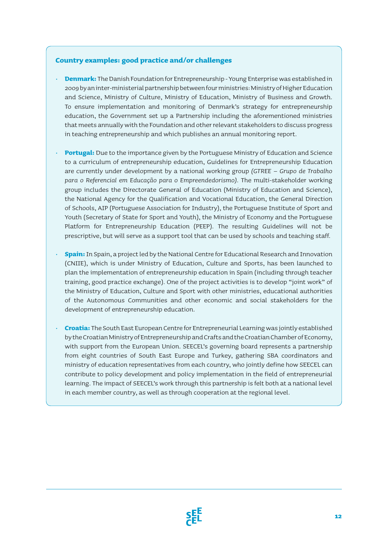#### **Country examples: good practice and/or challenges**

- **Denmark:** The Danish Foundation for Entrepreneurship Young Enterprise was established in 2009 by an inter-ministerial partnership between four ministries: Ministry of Higher Education and Science, Ministry of Culture, Ministry of Education, Ministry of Business and Growth. To ensure implementation and monitoring of Denmark's strategy for entrepreneurship education, the Government set up a Partnership including the aforementioned ministries that meets annually with the Foundation and other relevant stakeholders to discuss progress in teaching entrepreneurship and which publishes an annual monitoring report.
- **Portugal:** Due to the importance given by the Portuguese Ministry of Education and Science to a curriculum of entrepreneurship education, Guidelines for Entrepreneurship Education are currently under development by a national working group *(GTREE – Grupo de Trabalho para o Referencial em Educação para o Empreendedorismo).* The multi-stakeholder working group includes the Directorate General of Education (Ministry of Education and Science), the National Agency for the Qualification and Vocational Education, the General Direction of Schools, AIP (Portuguese Association for Industry), the Portuguese Institute of Sport and Youth (Secretary of State for Sport and Youth), the Ministry of Economy and the Portuguese Platform for Entrepreneurship Education (PEEP). The resulting Guidelines will not be prescriptive, but will serve as a support tool that can be used by schools and teaching staff.
- **Spain:** In Spain, a project led by the National Centre for Educational Research and Innovation (CNIIE), which is under Ministry of Education, Culture and Sports, has been launched to plan the implementation of entrepreneurship education in Spain (including through teacher training, good practice exchange). One of the project activities is to develop "joint work" of the Ministry of Education, Culture and Sport with other ministries, educational authorities of the Autonomous Communities and other economic and social stakeholders for the development of entrepreneurship education.
- **Croatia:** The South East European Centre for Entrepreneurial Learning was jointly established by the Croatian Ministry of Entrepreneurship and Crafts and the Croatian Chamber of Economy, with support from the European Union. SEECEL's governing board represents a partnership from eight countries of South East Europe and Turkey, gathering SBA coordinators and ministry of education representatives from each country, who jointly define how SEECEL can contribute to policy development and policy implementation in the field of entrepreneurial learning. The impact of SEECEL's work through this partnership is felt both at a national level in each member country, as well as through cooperation at the regional level.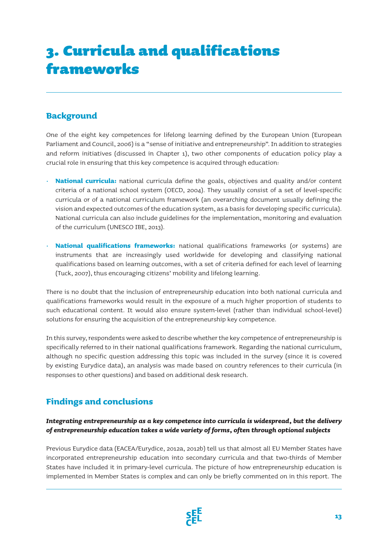# 3. Curricula and qualifications frameworks

## **Background**

One of the eight key competences for lifelong learning defined by the European Union (European Parliament and Council, 2006) is a "sense of initiative and entrepreneurship". In addition to strategies and reform initiatives (discussed in Chapter 1), two other components of education policy play a crucial role in ensuring that this key competence is acquired through education:

- **National curricula:** national curricula define the goals, objectives and quality and/or content criteria of a national school system (OECD, 2004). They usually consist of a set of level-specific curricula or of a national curriculum framework (an overarching document usually defining the vision and expected outcomes of the education system, as a basis for developing specific curricula). National curricula can also include guidelines for the implementation, monitoring and evaluation of the curriculum (UNESCO IBE, 2013).
- **National qualifications frameworks:** national qualifications frameworks (or systems) are instruments that are increasingly used worldwide for developing and classifying national qualifications based on learning outcomes, with a set of criteria defined for each level of learning (Tuck, 2007), thus encouraging citizens' mobility and lifelong learning.

There is no doubt that the inclusion of entrepreneurship education into both national curricula and qualifications frameworks would result in the exposure of a much higher proportion of students to such educational content. It would also ensure system-level (rather than individual school-level) solutions for ensuring the acquisition of the entrepreneurship key competence.

In this survey, respondents were asked to describe whether the key competence of entrepreneurship is specifically referred to in their national qualifications framework. Regarding the national curriculum, although no specific question addressing this topic was included in the survey (since it is covered by existing Eurydice data), an analysis was made based on country references to their curricula (in responses to other questions) and based on additional desk research.

## **Findings and conclusions**

### *Integrating entrepreneurship as a key competence into curricula is widespread, but the delivery of entrepreneurship education takes a wide variety of forms, often through optional subjects*

Previous Eurydice data (EACEA/Eurydice, 2012a, 2012b) tell us that almost all EU Member States have incorporated entrepreneurship education into secondary curricula and that two-thirds of Member States have included it in primary-level curricula. The picture of how entrepreneurship education is implemented in Member States is complex and can only be briefly commented on in this report. The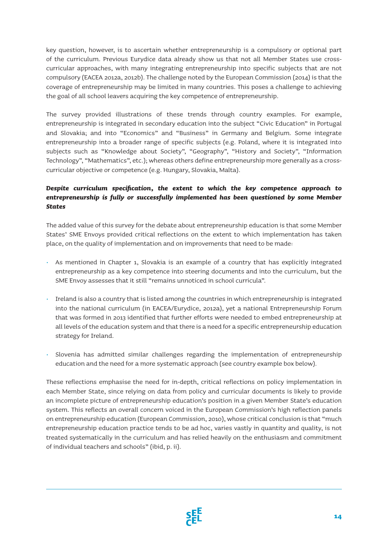key question, however, is to ascertain whether entrepreneurship is a compulsory or optional part of the curriculum. Previous Eurydice data already show us that not all Member States use crosscurricular approaches, with many integrating entrepreneurship into specific subjects that are not compulsory (EACEA 2012a, 2012b). The challenge noted by the European Commission (2014) is that the coverage of entrepreneurship may be limited in many countries. This poses a challenge to achieving the goal of all school leavers acquiring the key competence of entrepreneurship.

The survey provided illustrations of these trends through country examples. For example, entrepreneurship is integrated in secondary education into the subject "Civic Education" in Portugal and Slovakia; and into "Economics" and "Business" in Germany and Belgium. Some integrate entrepreneurship into a broader range of specific subjects (e.g. Poland, where it is integrated into subjects such as "Knowledge about Society", "Geography", "History and Society", "Information Technology", "Mathematics", etc.); whereas others define entrepreneurship more generally as a crosscurricular objective or competence (e.g. Hungary, Slovakia, Malta).

### *Despite curriculum specification, the extent to which the key competence approach to entrepreneurship is fully or successfully implemented has been questioned by some Member States*

The added value of this survey for the debate about entrepreneurship education is that some Member States' SME Envoys provided critical reflections on the extent to which implementation has taken place, on the quality of implementation and on improvements that need to be made:

- As mentioned in Chapter 1, Slovakia is an example of a country that has explicitly integrated entrepreneurship as a key competence into steering documents and into the curriculum, but the SME Envoy assesses that it still "remains unnoticed in school curricula".
- Ireland is also a country that is listed among the countries in which entrepreneurship is integrated into the national curriculum (in EACEA/Eurydice, 2012a), yet a national Entrepreneurship Forum that was formed in 2013 identified that further efforts were needed to embed entrepreneurship at all levels of the education system and that there is a need for a specific entrepreneurship education strategy for Ireland.
- Slovenia has admitted similar challenges regarding the implementation of entrepreneurship education and the need for a more systematic approach (see country example box below).

These reflections emphasise the need for in-depth, critical reflections on policy implementation in each Member State, since relying on data from policy and curricular documents is likely to provide an incomplete picture of entrepreneurship education's position in a given Member State's education system. This reflects an overall concern voiced in the European Commission's high reflection panels on entrepreneurship education (European Commission, 2010), whose critical conclusion is that "much entrepreneurship education practice tends to be ad hoc, varies vastly in quantity and quality, is not treated systematically in the curriculum and has relied heavily on the enthusiasm and commitment of individual teachers and schools" (ibid, p. ii).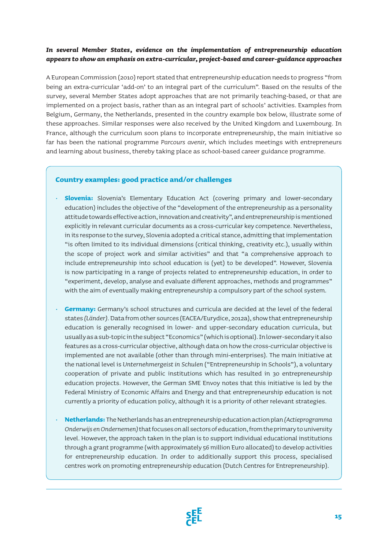### *In several Member States, evidence on the implementation of entrepreneurship education appears to show an emphasis on extra-curricular, project-based and career-guidance approaches*

A European Commission (2010) report stated that entrepreneurship education needs to progress "from being an extra-curricular 'add-on' to an integral part of the curriculum". Based on the results of the survey, several Member States adopt approaches that are not primarily teaching-based, or that are implemented on a project basis, rather than as an integral part of schools' activities. Examples from Belgium, Germany, the Netherlands, presented in the country example box below, illustrate some of these approaches. Similar responses were also received by the United Kingdom and Luxembourg. In France, although the curriculum soon plans to incorporate entrepreneurship, the main initiative so far has been the national programme *Parcours avenir,* which includes meetings with entrepreneurs and learning about business, thereby taking place as school-based career guidance programme.

#### **Country examples: good practice and/or challenges**

- **Slovenia:** Slovenia's Elementary Education Act (covering primary and lower-secondary education) includes the objective of the "development of the entrepreneurship as a personality attitude towards effective action, innovation and creativity", and entrepreneurship is mentioned explicitly in relevant curricular documents as a cross-curricular key competence. Nevertheless, in its response to the survey, Slovenia adopted a critical stance, admitting that implementation "is often limited to its individual dimensions (critical thinking, creativity etc.), usually within the scope of project work and similar activities" and that "a comprehensive approach to include entrepreneurship into school education is (yet) to be developed". However, Slovenia is now participating in a range of projects related to entrepreneurship education, in order to "experiment, develop, analyse and evaluate different approaches, methods and programmes" with the aim of eventually making entrepreneurship a compulsory part of the school system.
- **Germany:** Germany's school structures and curricula are decided at the level of the federal states *(Länder).* Data from other sources (EACEA/Eurydice, 2012a), show that entrepreneurship education is generally recognised in lower- and upper-secondary education curricula, but usually as a sub-topic in the subject "Economics" (which is optional). In lower-secondary it also features as a cross-curricular objective, although data on how the cross-curricular objective is implemented are not available (other than through mini-enterprises). The main initiative at the national level is *Unternehmergeist in Schulen* ("Entrepreneurship in Schools"), a voluntary cooperation of private and public institutions which has resulted in 30 entrepreneurship education projects. However, the German SME Envoy notes that this initiative is led by the Federal Ministry of Economic Affairs and Energy and that entrepreneurship education is not currently a priority of education policy, although it is a priority of other relevant strategies.
- **Netherlands:** The Netherlands has an entrepreneurship education action plan *(Actieprogramma Onderwijs en Ondernemen)* that focuses on all sectors of education, from the primary to university level. However, the approach taken in the plan is to support individual educational institutions through a grant programme (with approximately 56 million Euro allocated) to develop activities for entrepreneurship education. In order to additionally support this process, specialised centres work on promoting entrepreneurship education (Dutch Centres for Entrepreneurship).

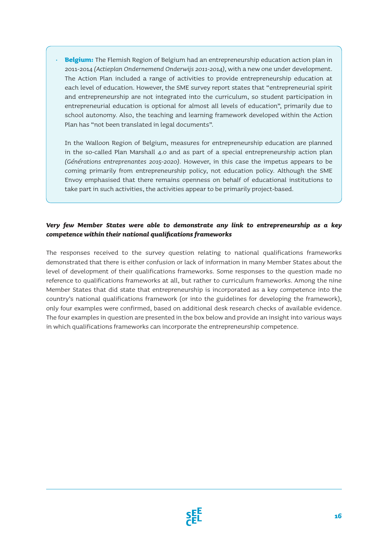• **Belgium:** The Flemish Region of Belgium had an entrepreneurship education action plan in 2011-2014 *(Actieplan Ondernemend Onderwijs 2011-2014),* with a new one under development. The Action Plan included a range of activities to provide entrepreneurship education at each level of education. However, the SME survey report states that "entrepreneurial spirit and entrepreneurship are not integrated into the curriculum, so student participation in entrepreneurial education is optional for almost all levels of education", primarily due to school autonomy. Also, the teaching and learning framework developed within the Action Plan has "not been translated in legal documents".

In the Walloon Region of Belgium, measures for entrepreneurship education are planned in the so-called Plan Marshall 4.0 and as part of a special entrepreneurship action plan *(Générations entreprenantes 2015-2020).* However, in this case the impetus appears to be coming primarily from entrepreneurship policy, not education policy. Although the SME Envoy emphasised that there remains openness on behalf of educational institutions to take part in such activities, the activities appear to be primarily project-based.

### *Very few Member States were able to demonstrate any link to entrepreneurship as a key competence within their national qualifications frameworks*

The responses received to the survey question relating to national qualifications frameworks demonstrated that there is either confusion or lack of information in many Member States about the level of development of their qualifications frameworks. Some responses to the question made no reference to qualifications frameworks at all, but rather to curriculum frameworks. Among the nine Member States that did state that entrepreneurship is incorporated as a key competence into the country's national qualifications framework (or into the guidelines for developing the framework), only four examples were confirmed, based on additional desk research checks of available evidence. The four examples in question are presented in the box below and provide an insight into various ways in which qualifications frameworks can incorporate the entrepreneurship competence.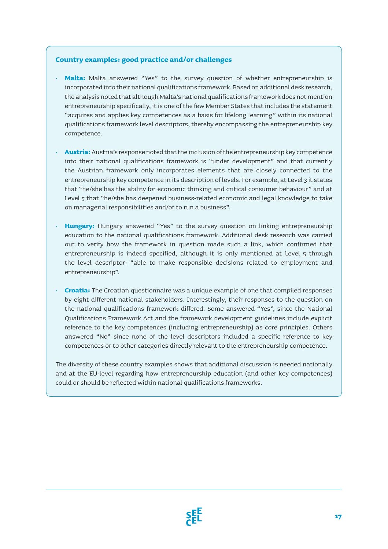### **Country examples: good practice and/or challenges**

- **Malta:** Malta answered "Yes" to the survey question of whether entrepreneurship is incorporated into their national qualifications framework. Based on additional desk research, the analysis noted that although Malta's national qualifications framework does not mention entrepreneurship specifically, it is one of the few Member States that includes the statement "acquires and applies key competences as a basis for lifelong learning" within its national qualifications framework level descriptors, thereby encompassing the entrepreneurship key competence.
- **Austria:** Austria's response noted that the inclusion of the entrepreneurship key competence into their national qualifications framework is "under development" and that currently the Austrian framework only incorporates elements that are closely connected to the entrepreneurship key competence in its description of levels. For example, at Level 3 it states that "he/she has the ability for economic thinking and critical consumer behaviour" and at Level 5 that "he/she has deepened business-related economic and legal knowledge to take on managerial responsibilities and/or to run a business".
- **Hungary:** Hungary answered "Yes" to the survey question on linking entrepreneurship education to the national qualifications framework. Additional desk research was carried out to verify how the framework in question made such a link, which confirmed that entrepreneurship is indeed specified, although it is only mentioned at Level 5 through the level descriptor: "able to make responsible decisions related to employment and entrepreneurship".
- **Croatia:** The Croatian questionnaire was a unique example of one that compiled responses by eight different national stakeholders. Interestingly, their responses to the question on the national qualifications framework differed. Some answered "Yes", since the National Qualifications Framework Act and the framework development guidelines include explicit reference to the key competences (including entrepreneurship) as core principles. Others answered "No" since none of the level descriptors included a specific reference to key competences or to other categories directly relevant to the entrepreneurship competence.

The diversity of these country examples shows that additional discussion is needed nationally and at the EU-level regarding how entrepreneurship education (and other key competences) could or should be reflected within national qualifications frameworks.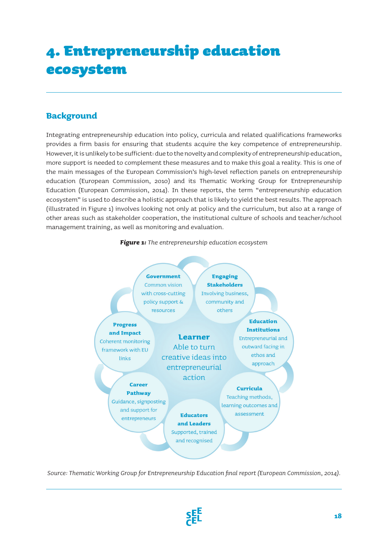# 4. Entrepreneurship education ecosystem

## **Background**

Integrating entrepreneurship education into policy, curricula and related qualifications frameworks provides a firm basis for ensuring that students acquire the key competence of entrepreneurship. However, it is unlikely to be sufficient: due to the novelty and complexity of entrepreneurship education, more support is needed to complement these measures and to make this goal a reality. This is one of the main messages of the European Commission's high-level reflection panels on entrepreneurship education (European Commission, 2010) and its Thematic Working Group for Entrepreneurship Education (European Commission, 2014). In these reports, the term "entrepreneurship education ecosystem" is used to describe a holistic approach that is likely to yield the best results. The approach (illustrated in Figure 1) involves looking not only at policy and the curriculum, but also at a range of other areas such as stakeholder cooperation, the institutional culture of schools and teacher/school management training, as well as monitoring and evaluation.





*Source: Thematic Working Group for Entrepreneurship Education final report (European Commission, 2014).*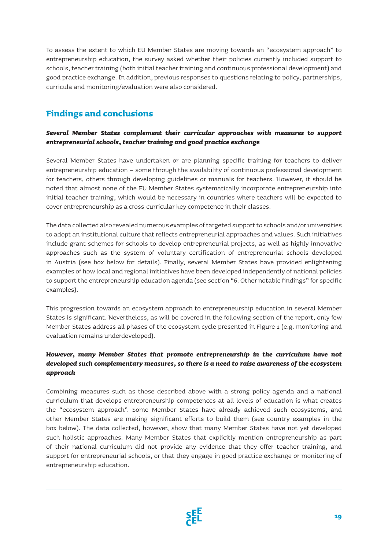To assess the extent to which EU Member States are moving towards an "ecosystem approach" to entrepreneurship education, the survey asked whether their policies currently included support to schools, teacher training (both initial teacher training and continuous professional development) and good practice exchange. In addition, previous responses to questions relating to policy, partnerships, curricula and monitoring/evaluation were also considered.

## **Findings and conclusions**

### *Several Member States complement their curricular approaches with measures to support entrepreneurial schools, teacher training and good practice exchange*

Several Member States have undertaken or are planning specific training for teachers to deliver entrepreneurship education – some through the availability of continuous professional development for teachers, others through developing guidelines or manuals for teachers. However, it should be noted that almost none of the EU Member States systematically incorporate entrepreneurship into initial teacher training, which would be necessary in countries where teachers will be expected to cover entrepreneurship as a cross-curricular key competence in their classes.

The data collected also revealed numerous examples of targeted support to schools and/or universities to adopt an institutional culture that reflects entrepreneurial approaches and values. Such initiatives include grant schemes for schools to develop entrepreneurial projects, as well as highly innovative approaches such as the system of voluntary certification of entrepreneurial schools developed in Austria (see box below for details). Finally, several Member States have provided enlightening examples of how local and regional initiatives have been developed independently of national policies to support the entrepreneurship education agenda (see section "6. Other notable findings" for specific examples).

This progression towards an ecosystem approach to entrepreneurship education in several Member States is significant. Nevertheless, as will be covered in the following section of the report, only few Member States address all phases of the ecosystem cycle presented in Figure 1 (e.g. monitoring and evaluation remains underdeveloped).

### *However, many Member States that promote entrepreneurship in the curriculum have not developed such complementary measures, so there is a need to raise awareness of the ecosystem approach*

Combining measures such as those described above with a strong policy agenda and a national curriculum that develops entrepreneurship competences at all levels of education is what creates the "ecosystem approach". Some Member States have already achieved such ecosystems, and other Member States are making significant efforts to build them (see country examples in the box below). The data collected, however, show that many Member States have not yet developed such holistic approaches. Many Member States that explicitly mention entrepreneurship as part of their national curriculum did not provide any evidence that they offer teacher training, and support for entrepreneurial schools, or that they engage in good practice exchange or monitoring of entrepreneurship education.

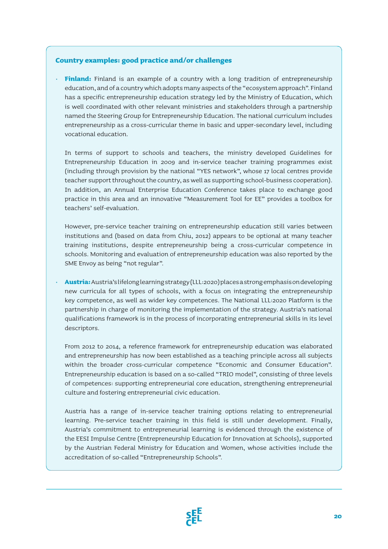#### **Country examples: good practice and/or challenges**

• **Finland:** Finland is an example of a country with a long tradition of entrepreneurship education, and of a country which adopts many aspects of the "ecosystem approach". Finland has a specific entrepreneurship education strategy led by the Ministry of Education, which is well coordinated with other relevant ministries and stakeholders through a partnership named the Steering Group for Entrepreneurship Education. The national curriculum includes entrepreneurship as a cross-curricular theme in basic and upper-secondary level, including vocational education.

In terms of support to schools and teachers, the ministry developed Guidelines for Entrepreneurship Education in 2009 and in-service teacher training programmes exist (including through provision by the national "YES network", whose 17 local centres provide teacher support throughout the country, as well as supporting school-business cooperation). In addition, an Annual Enterprise Education Conference takes place to exchange good practice in this area and an innovative "Measurement Tool for EE" provides a toolbox for teachers' self-evaluation.

However, pre-service teacher training on entrepreneurship education still varies between institutions and (based on data from Chiu, 2012) appears to be optional at many teacher training institutions, despite entrepreneurship being a cross-curricular competence in schools. Monitoring and evaluation of entrepreneurship education was also reported by the SME Envoy as being "not regular".

• **Austria:** Austria's lifelong learning strategy (LLL:2020) places a strong emphasis on developing new curricula for all types of schools, with a focus on integrating the entrepreneurship key competence, as well as wider key competences. The National LLL:2020 Platform is the partnership in charge of monitoring the implementation of the strategy. Austria's national qualifications framework is in the process of incorporating entrepreneurial skills in its level descriptors.

From 2012 to 2014, a reference framework for entrepreneurship education was elaborated and entrepreneurship has now been established as a teaching principle across all subjects within the broader cross-curricular competence "Economic and Consumer Education". Entrepreneurship education is based on a so-called "TRIO model", consisting of three levels of competences: supporting entrepreneurial core education, strengthening entrepreneurial culture and fostering entrepreneurial civic education.

Austria has a range of in-service teacher training options relating to entrepreneurial learning. Pre-service teacher training in this field is still under development. Finally, Austria's commitment to entrepreneurial learning is evidenced through the existence of the EESI Impulse Centre (Entrepreneurship Education for Innovation at Schools), supported by the Austrian Federal Ministry for Education and Women, whose activities include the accreditation of so-called "Entrepreneurship Schools".

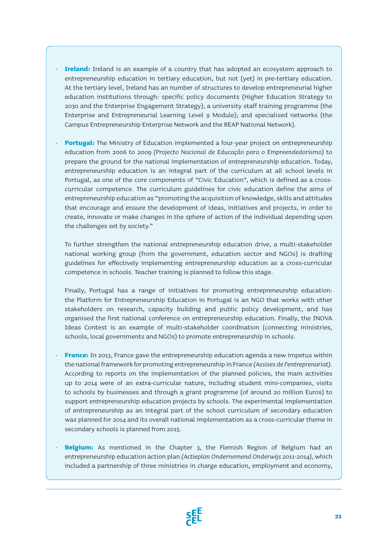- **Ireland:** Ireland is an example of a country that has adopted an ecosystem approach to entrepreneurship education in tertiary education, but not (yet) in pre-tertiary education. At the tertiary level, Ireland has an number of structures to develop entrepreneurial higher education institutions through: specific policy documents (Higher Education Strategy to 2030 and the Enterprise Engagement Strategy); a university staff training programme (the Enterprise and Entrepreneurial Learning Level 9 Module); and specialised networks (the Campus Entrepreneurship Enterprise Network and the REAP National Network).
- **Portugal:** The Ministry of Education implemented a four-year project on entrepreneurship education from 2006 to 2009 *(Projecto Nacional de Educação para o Empreendedorismo)* to prepare the ground for the national implementation of entrepreneurship education. Today, entrepreneurship education is an integral part of the curriculum at all school levels in Portugal, as one of the core components of "Civic Education", which is defined as a crosscurricular competence. The curriculum guidelines for civic education define the aims of entrepreneurship education as "promoting the acquisition of knowledge, skills and attitudes that encourage and ensure the development of ideas, initiatives and projects, in order to create, innovate or make changes in the sphere of action of the individual depending upon the challenges set by society."

To further strengthen the national entrepreneurship education drive, a multi-stakeholder national working group (from the government, education sector and NGOs) is drafting guidelines for effectively implementing entrepreneurship education as a cross-curricular competence in schools. Teacher training is planned to follow this stage.

Finally, Portugal has a range of initiatives for promoting entrepreneurship education: the Platform for Entrepreneurship Education in Portugal is an NGO that works with other stakeholders on research, capacity building and public policy development, and has organised the first national conference on entrepreneurship education. Finally, the INOVA Ideas Contest is an example of multi-stakeholder coordination (connecting ministries, schools, local governments and NGOs) to promote entrepreneurship in schools.

- **France:** In 2013, France gave the entrepreneurship education agenda a new impetus within the national framework for promoting entrepreneurship in France *(Assises de l'entreprenariat).*  According to reports on the implementation of the planned policies, the main activities up to 2014 were of an extra-curricular nature, including student mini-companies, visits to schools by businesses and through a grant programme (of around 20 million Euros) to support entrepreneurship education projects by schools. The experimental implementation of entrepreneurship as an integral part of the school curriculum of secondary education was planned for 2014 and its overall national implementation as a cross-curricular theme in secondary schools is planned from 2015.
- **Belgium:** As mentioned in the Chapter 3, the Flemish Region of Belgium had an entrepreneurship education action plan *(Actieplan Ondernemend Onderwijs 2011-2014),* which included a partnership of three ministries in charge education, employment and economy,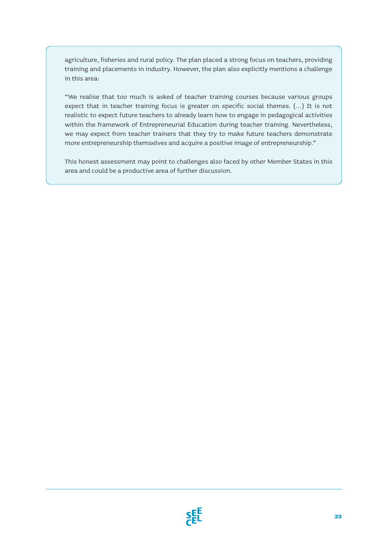agriculture, fisheries and rural policy. The plan placed a strong focus on teachers, providing training and placements in industry. However, the plan also explicitly mentions a challenge in this area:

"We realise that too much is asked of teacher training courses because various groups expect that in teacher training focus is greater on specific social themes. (…) It is not realistic to expect future teachers to already learn how to engage in pedagogical activities within the framework of Entrepreneurial Education during teacher training. Nevertheless, we may expect from teacher trainers that they try to make future teachers demonstrate more entrepreneurship themselves and acquire a positive image of entrepreneurship."

This honest assessment may point to challenges also faced by other Member States in this area and could be a productive area of further discussion.

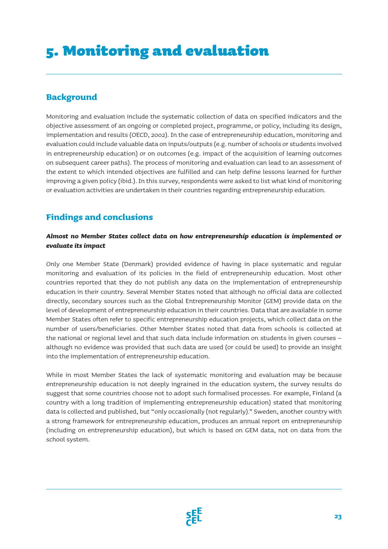### **Background**

Monitoring and evaluation include the systematic collection of data on specified indicators and the objective assessment of an ongoing or completed project, programme, or policy, including its design, implementation and results (OECD, 2002). In the case of entrepreneurship education, monitoring and evaluation could include valuable data on inputs/outputs (e.g. number of schools or students involved in entrepreneurship education) or on outcomes (e.g. impact of the acquisition of learning outcomes on subsequent career paths). The process of monitoring and evaluation can lead to an assessment of the extent to which intended objectives are fulfilled and can help define lessons learned for further improving a given policy (ibid.). In this survey, respondents were asked to list what kind of monitoring or evaluation activities are undertaken in their countries regarding entrepreneurship education.

## **Findings and conclusions**

### *Almost no Member States collect data on how entrepreneurship education is implemented or evaluate its impact*

Only one Member State (Denmark) provided evidence of having in place systematic and regular monitoring and evaluation of its policies in the field of entrepreneurship education. Most other countries reported that they do not publish any data on the implementation of entrepreneurship education in their country. Several Member States noted that although no official data are collected directly, secondary sources such as the Global Entrepreneurship Monitor (GEM) provide data on the level of development of entrepreneurship education in their countries. Data that are available in some Member States often refer to specific entrepreneurship education projects, which collect data on the number of users/beneficiaries. Other Member States noted that data from schools is collected at the national or regional level and that such data include information on students in given courses – although no evidence was provided that such data are used (or could be used) to provide an insight into the implementation of entrepreneurship education.

While in most Member States the lack of systematic monitoring and evaluation may be because entrepreneurship education is not deeply ingrained in the education system, the survey results do suggest that some countries choose not to adopt such formalised processes. For example, Finland (a country with a long tradition of implementing entrepreneurship education) stated that monitoring data is collected and published, but "only occasionally (not regularly)." Sweden, another country with a strong framework for entrepreneurship education, produces an annual report on entrepreneurship (including on entrepreneurship education), but which is based on GEM data, not on data from the school system.

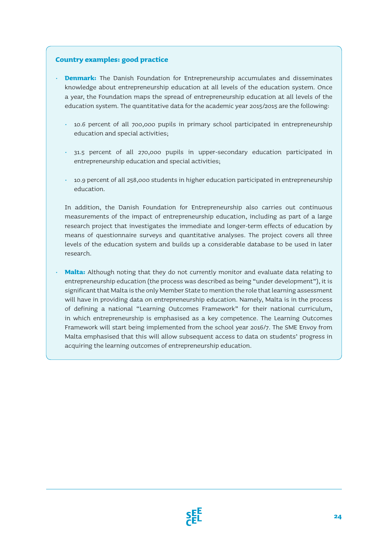#### **Country examples: good practice**

- **Denmark:** The Danish Foundation for Entrepreneurship accumulates and disseminates knowledge about entrepreneurship education at all levels of the education system. Once a year, the Foundation maps the spread of entrepreneurship education at all levels of the education system. The quantitative data for the academic year 2015/2015 are the following:
	- 10.6 percent of all 700,000 pupils in primary school participated in entrepreneurship education and special activities;
	- 31.5 percent of all 270,000 pupils in upper-secondary education participated in entrepreneurship education and special activities;
	- 10.9 percent of all 258,000 students in higher education participated in entrepreneurship education.

In addition, the Danish Foundation for Entrepreneurship also carries out continuous measurements of the impact of entrepreneurship education, including as part of a large research project that investigates the immediate and longer-term effects of education by means of questionnaire surveys and quantitative analyses. The project covers all three levels of the education system and builds up a considerable database to be used in later research.

• **Malta:** Although noting that they do not currently monitor and evaluate data relating to entrepreneurship education (the process was described as being "under development"), it is significant that Malta is the only Member State to mention the role that learning assessment will have in providing data on entrepreneurship education. Namely, Malta is in the process of defining a national "Learning Outcomes Framework" for their national curriculum, in which entrepreneurship is emphasised as a key competence. The Learning Outcomes Framework will start being implemented from the school year 2016/7. The SME Envoy from Malta emphasised that this will allow subsequent access to data on students' progress in acquiring the learning outcomes of entrepreneurship education.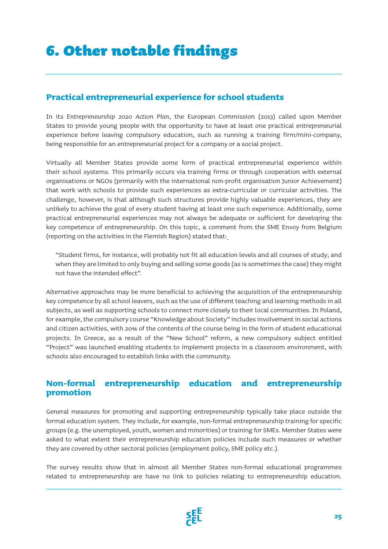## **Practical entrepreneurial experience for school students**

In its *Entrepreneurship 2020 Action Plan,* the European Commission (2013) called upon Member States to provide young people with the opportunity to have at least one practical entrepreneurial experience before leaving compulsory education, such as running a training firm/mini-company, being responsible for an entrepreneurial project for a company or a social project.

Virtually all Member States provide some form of practical entrepreneurial experience within their school systems. This primarily occurs via training firms or through cooperation with external organisations or NGOs (primarily with the international non-profit organisation Junior Achievement) that work with schools to provide such experiences as extra-curricular or curricular activities. The challenge, however, is that although such structures provide highly valuable experiences, they are unlikely to achieve the goal of every student having at least one such experience. Additionally, some practical entrepreneurial experiences may not always be adequate or sufficient for developing the key competence of entrepreneurship. On this topic, a comment from the SME Envoy from Belgium (reporting on the activities in the Flemish Region) stated that:

"Student firms, for instance, will probably not fit all education levels and all courses of study; and when they are limited to only buying and selling some goods (as is sometimes the case) they might not have the intended effect".

Alternative approaches may be more beneficial to achieving the acquisition of the entrepreneurship key competence by all school leavers, such as the use of different teaching and learning methods in all subjects, as well as supporting schools to connect more closely to their local communities. In Poland, for example, the compulsory course "Knowledge about Society" includes involvement in social actions and citizen activities, with 20% of the contents of the course being in the form of student educational projects. In Greece, as a result of the "New School" reform, a new compulsory subject entitled "Project" was launched enabling students to implement projects in a classroom environment, with schools also encouraged to establish links with the community.

### **Non-formal entrepreneurship education and entrepreneurship promotion**

General measures for promoting and supporting entrepreneurship typically take place outside the formal education system. They include, for example, non-formal entrepreneurship training for specific groups (e.g. the unemployed, youth, women and minorities) or training for SMEs. Member States were asked to what extent their entrepreneurship education policies include such measures or whether they are covered by other sectoral policies (employment policy, SME policy etc.).

The survey results show that in almost all Member States non-formal educational programmes related to entrepreneurship are have no link to policies relating to entrepreneurship education.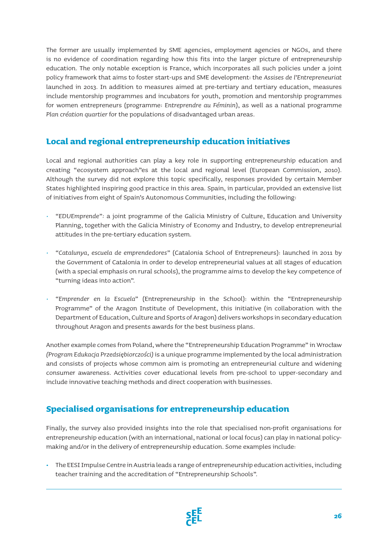The former are usually implemented by SME agencies, employment agencies or NGOs, and there is no evidence of coordination regarding how this fits into the larger picture of entrepreneurship education. The only notable exception is France, which incorporates all such policies under a joint policy framework that aims to foster start-ups and SME development: the *Assises de l'Entrepreneuriat* launched in 2013. In addition to measures aimed at pre-tertiary and tertiary education, measures include mentorship programmes and incubators for youth, promotion and mentorship programmes for women entrepreneurs (programme: *Entreprendre au Féminin*), as well as a national programme *Plan création quartier* for the populations of disadvantaged urban areas.

### **Local and regional entrepreneurship education initiatives**

Local and regional authorities can play a key role in supporting entrepreneurship education and creating "ecosystem approach"es at the local and regional level (European Commission, 2010). Although the survey did not explore this topic specifically, responses provided by certain Member States highlighted inspiring good practice in this area. Spain, in particular, provided an extensive list of initiatives from eight of Spain's Autonomous Communities, including the following:

- *"EDUEmprende":* a joint programme of the Galicia Ministry of Culture, Education and University Planning, together with the Galicia Ministry of Economy and Industry, to develop entrepreneurial attitudes in the pre-tertiary education system.
- *"Catalunya, escuela de emprendedores"* (Catalonia School of Entrepreneurs): launched in 2011 by the Government of Catalonia in order to develop entrepreneurial values at all stages of education (with a special emphasis on rural schools), the programme aims to develop the key competence of "turning ideas into action".
- *"Emprender en la Escuela"* (Entrepreneurship in the School): within the "Entrepreneurship Programme" of the Aragon Institute of Development, this initiative (in collaboration with the Department of Education, Culture and Sports of Aragon) delivers workshops in secondary education throughout Aragon and presents awards for the best business plans.

Another example comes from Poland, where the "Entrepreneurship Education Programme" in Wrocław *(Program Edukacja Przedsiębiorczości)* is a unique programme implemented by the local administration and consists of projects whose common aim is promoting an entrepreneurial culture and widening consumer awareness. Activities cover educational levels from pre-school to upper-secondary and include innovative teaching methods and direct cooperation with businesses.

### **Specialised organisations for entrepreneurship education**

Finally, the survey also provided insights into the role that specialised non-profit organisations for entrepreneurship education (with an international, national or local focus) can play in national policymaking and/or in the delivery of entrepreneurship education. Some examples include:

**·** The EESI Impulse Centre in Austria leads a range of entrepreneurship education activities, including teacher training and the accreditation of "Entrepreneurship Schools".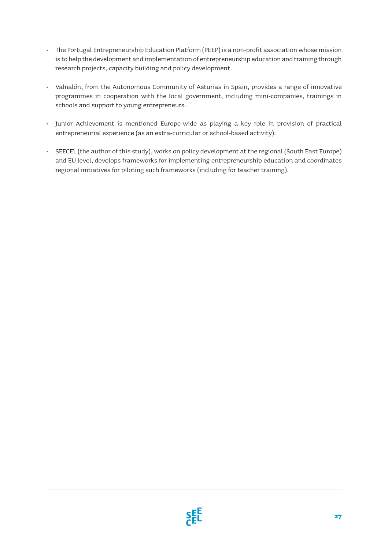- **·** The Portugal Entrepreneurship Education Platform (PEEP) is a non-profit association whose mission is to help the development and implementation of entrepreneurship education and training through research projects, capacity building and policy development.
- **·** Valnalón, from the Autonomous Community of Asturias in Spain, provides a range of innovative programmes in cooperation with the local government, including mini-companies, trainings in schools and support to young entrepreneurs.
- **·** Junior Achievement is mentioned Europe-wide as playing a key role in provision of practical entrepreneurial experience (as an extra-curricular or school-based activity).
- **·** SEECEL (the author of this study), works on policy development at the regional (South East Europe) and EU level, develops frameworks for implementing entrepreneurship education and coordinates regional initiatives for piloting such frameworks (including for teacher training).

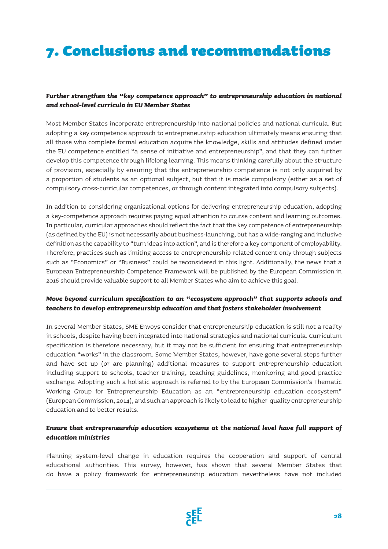# 7. Conclusions and recommendations

### *Further strengthen the "key competence approach" to entrepreneurship education in national and school-level curricula in EU Member States*

Most Member States incorporate entrepreneurship into national policies and national curricula. But adopting a key competence approach to entrepreneurship education ultimately means ensuring that all those who complete formal education acquire the knowledge, skills and attitudes defined under the EU competence entitled "a sense of initiative and entrepreneurship", and that they can further develop this competence through lifelong learning. This means thinking carefully about the structure of provision, especially by ensuring that the entrepreneurship competence is not only acquired by a proportion of students as an optional subject, but that it is made compulsory (either as a set of compulsory cross-curricular competences, or through content integrated into compulsory subjects).

In addition to considering organisational options for delivering entrepreneurship education, adopting a key-competence approach requires paying equal attention to course content and learning outcomes. In particular, curricular approaches should reflect the fact that the key competence of entrepreneurship (as defined by the EU) is not necessarily about business-launching, but has a wide-ranging and inclusive definition as the capability to "turn ideas into action", and is therefore a key component of employability. Therefore, practices such as limiting access to entrepreneurship-related content only through subjects such as "Economics" or "Business" could be reconsidered in this light. Additionally, the news that a European Entrepreneurship Competence Framework will be published by the European Commission in 2016 should provide valuable support to all Member States who aim to achieve this goal.

### *Move beyond curriculum specification to an "ecosystem approach" that supports schools and teachers to develop entrepreneurship education and that fosters stakeholder involvement*

In several Member States, SME Envoys consider that entrepreneurship education is still not a reality in schools, despite having been integrated into national strategies and national curricula. Curriculum specification is therefore necessary, but it may not be sufficient for ensuring that entrepreneurship education "works" in the classroom. Some Member States, however, have gone several steps further and have set up (or are planning) additional measures to support entrepreneurship education including support to schools, teacher training, teaching guidelines, monitoring and good practice exchange. Adopting such a holistic approach is referred to by the European Commission's Thematic Working Group for Entrepreneurship Education as an "entrepreneurship education ecosystem" (European Commission, 2014), and such an approach is likely to lead to higher-quality entrepreneurship education and to better results.

### *Ensure that entrepreneurship education ecosystems at the national level have full support of education ministries*

Planning system-level change in education requires the cooperation and support of central educational authorities. This survey, however, has shown that several Member States that do have a policy framework for entrepreneurship education nevertheless have not included

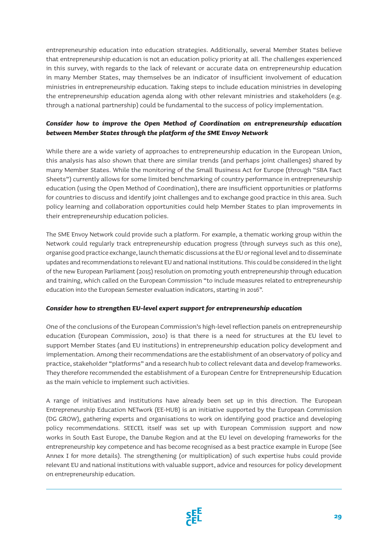entrepreneurship education into education strategies. Additionally, several Member States believe that entrepreneurship education is not an education policy priority at all. The challenges experienced in this survey, with regards to the lack of relevant or accurate data on entrepreneurship education in many Member States, may themselves be an indicator of insufficient involvement of education ministries in entrepreneurship education. Taking steps to include education ministries in developing the entrepreneurship education agenda along with other relevant ministries and stakeholders (e.g. through a national partnership) could be fundamental to the success of policy implementation.

### *Consider how to improve the Open Method of Coordination on entrepreneurship education between Member States through the platform of the SME Envoy Network*

While there are a wide variety of approaches to entrepreneurship education in the European Union, this analysis has also shown that there are similar trends (and perhaps joint challenges) shared by many Member States. While the monitoring of the Small Business Act for Europe (through "SBA Fact Sheets") currently allows for some limited benchmarking of country performance in entrepreneurship education (using the Open Method of Coordination), there are insufficient opportunities or platforms for countries to discuss and identify joint challenges and to exchange good practice in this area. Such policy learning and collaboration opportunities could help Member States to plan improvements in their entrepreneurship education policies.

The SME Envoy Network could provide such a platform. For example, a thematic working group within the Network could regularly track entrepreneurship education progress (through surveys such as this one), organise good practice exchange, launch thematic discussions at the EU or regional level and to disseminate updates and recommendations to relevant EU and national institutions. This could be considered in the light of the new European Parliament (2015) resolution on promoting youth entrepreneurship through education and training, which called on the European Commission "to include measures related to entrepreneurship education into the European Semester evaluation indicators, starting in 2016".

#### *Consider how to strengthen EU-level expert support for entrepreneurship education*

One of the conclusions of the European Commission's high-level reflection panels on entrepreneurship education (European Commission, 2010) is that there is a need for structures at the EU level to support Member States (and EU institutions) in entrepreneurship education policy development and implementation. Among their recommendations are the establishment of an observatory of policy and practice, stakeholder "platforms" and a research hub to collect relevant data and develop frameworks. They therefore recommended the establishment of a European Centre for Entrepreneurship Education as the main vehicle to implement such activities.

A range of initiatives and institutions have already been set up in this direction. The European Entrepreneurship Education NETwork (EE-HUB) is an initiative supported by the European Commission (DG GROW), gathering experts and organisations to work on identifying good practice and developing policy recommendations. SEECEL itself was set up with European Commission support and now works in South East Europe, the Danube Region and at the EU level on developing frameworks for the entrepreneurship key competence and has become recognised as a best practice example in Europe (See Annex I for more details). The strengthening (or multiplication) of such expertise hubs could provide relevant EU and national institutions with valuable support, advice and resources for policy development on entrepreneurship education.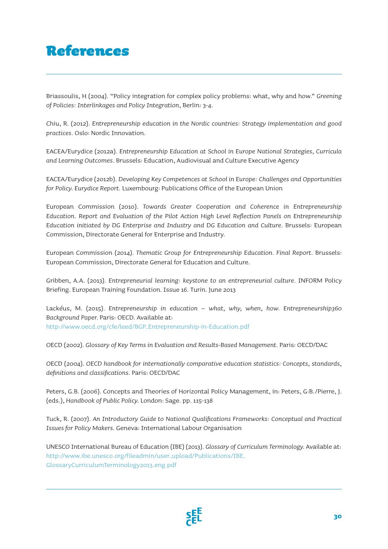## References

Briassoulis, H (2004). "Policy integration for complex policy problems: what, why and how." *Greening of Policies: Interlinkages and Policy Integration*, Berlin: 3-4.

Chiu, R. (2012). *Entrepreneurship education in the Nordic countries: Strategy implementation and good practices.* Oslo: Nordic Innovation.

EACEA/Eurydice (2012a). *Entrepreneurship Education at School in Europe National Strategies, Curricula and Learning Outcomes.* Brussels: Education, Audiovisual and Culture Executive Agency

EACEA/Eurydice (2012b). *Developing Key Competences at School in Europe: Challenges and Opportunities for Policy. Eurydice Report.* Luxembourg: Publications Office of the European Union

European Commission (2010). *Towards Greater Cooperation and Coherence in Entrepreneurship Education. Report and Evaluation of the Pilot Action High Level Reflection Panels on Entrepreneurship Education initiated by DG Enterprise and Industry and DG Education and Culture.* Brussels: European Commission, Directorate General for Enterprise and Industry.

European Commission (2014). *Thematic Group for Entrepreneurship Education. Final Report.* Brussels: European Commission, Directorate General for Education and Culture.

Gribben, A.A. (2013). *Entrepreneurial learning: keystone to an entrepreneurial culture.* INFORM Policy Briefing. European Training Foundation. Issue 16. Turin. June 2013

Lackéus, M. (2015). *Entrepreneurship in education – what, why, when, how. Entrepreneurship360 Background Paper.* Paris: OECD. Available at: http://www.oecd.org/cfe/leed/BGP\_Entrepreneurship-in-Education.pdf

OECD (2002). *Glossary of Key Terms in Evaluation and Results-Based Management.* Paris: OECD/DAC

OECD (2004). *OECD handbook for internationally comparative education statistics: Concepts, standards, definitions and classifications.* Paris: OECD/DAC

Peters, G.B. (2006). Concepts and Theories of Horizontal Policy Management, in: Peters, G:B./Pierre, J. (eds.), *Handbook of Public Policy.* London: Sage. pp. 115-138

Tuck, R. (2007). *An Introductory Guide to National Qualifications Frameworks: Conceptual and Practical Issues for Policy Makers.* Geneva: International Labour Organisation

UNESCO International Bureau of Education (IBE) (2013). *Glossary of Curriculum Terminology.* Available at: http://www.ibe.unesco.org/fileadmin/user\_upload/Publications/IBE\_ GlossaryCurriculumTerminology2013\_eng.pdf

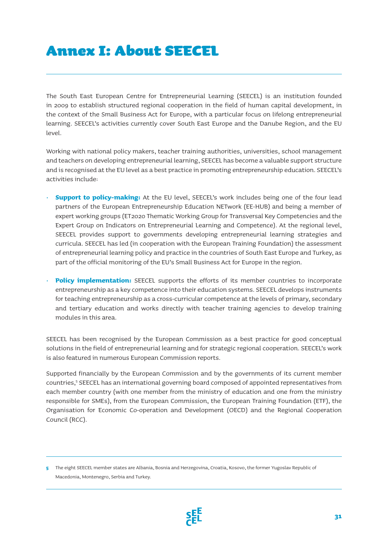## Annex I: About SEECEL

The South East European Centre for Entrepreneurial Learning (SEECEL) is an institution founded in 2009 to establish structured regional cooperation in the field of human capital development, in the context of the Small Business Act for Europe, with a particular focus on lifelong entrepreneurial learning. SEECEL's activities currently cover South East Europe and the Danube Region, and the EU level.

Working with national policy makers, teacher training authorities, universities, school management and teachers on developing entrepreneurial learning, SEECEL has become a valuable support structure and is recognised at the EU level as a best practice in promoting entrepreneurship education. SEECEL's activities include:

- **Support to policy-making:** At the EU level, SEECEL's work includes being one of the four lead partners of the European Entrepreneurship Education NETwork (EE-HUB) and being a member of expert working groups (ET2020 Thematic Working Group for Transversal Key Competencies and the Expert Group on Indicators on Entrepreneurial Learning and Competence). At the regional level, SEECEL provides support to governments developing entrepreneurial learning strategies and curricula. SEECEL has led (in cooperation with the European Training Foundation) the assessment of entrepreneurial learning policy and practice in the countries of South East Europe and Turkey, as part of the official monitoring of the EU's Small Business Act for Europe in the region.
- **Policy implementation:** SEECEL supports the efforts of its member countries to incorporate entrepreneurship as a key competence into their education systems. SEECEL develops instruments for teaching entrepreneurship as a cross-curricular competence at the levels of primary, secondary and tertiary education and works directly with teacher training agencies to develop training modules in this area.

SEECEL has been recognised by the European Commission as a best practice for good conceptual solutions in the field of entrepreneurial learning and for strategic regional cooperation. SEECEL's work is also featured in numerous European Commission reports.

Supported financially by the European Commission and by the governments of its current member countries,<sup>5</sup> SEECEL has an international governing board composed of appointed representatives from each member country (with one member from the ministry of education and one from the ministry responsible for SMEs), from the European Commission, the European Training Foundation (ETF), the Organisation for Economic Co-operation and Development (OECD) and the Regional Cooperation Council (RCC).

**<sup>5</sup>** The eight SEECEL member states are Albania, Bosnia and Herzegovina, Croatia, Kosovo, the former Yugoslav Republic of Macedonia, Montenegro, Serbia and Turkey.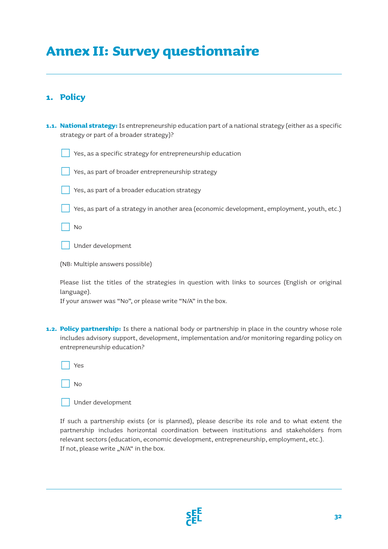## **Annex II: Survey questionnaire**

### **1. Policy**

| 1.1. National strategy: Is entrepreneurship education part of a national strategy (either as a specific<br>strategy or part of a broader strategy)? |
|-----------------------------------------------------------------------------------------------------------------------------------------------------|
| Yes, as a specific strategy for entrepreneurship education                                                                                          |
| Yes, as part of broader entrepreneurship strategy                                                                                                   |
| Yes, as part of a broader education strategy                                                                                                        |
| Yes, as part of a strategy in another area (economic development, employment, youth, etc.)                                                          |
| No                                                                                                                                                  |
| Under development                                                                                                                                   |
| (NB: Multiple answers possible)                                                                                                                     |
|                                                                                                                                                     |

Please list the titles of the strategies in question with links to sources (English or original language).

If your answer was "No", or please write "N/A" in the box.

**1.2. Policy partnership:** Is there a national body or partnership in place in the country whose role includes advisory support, development, implementation and/or monitoring regarding policy on entrepreneurship education?

| UV.<br>$\sim$ |
|---------------|
|---------------|

| $\Box$ Under development |
|--------------------------|
|                          |

If such a partnership exists (or is planned), please describe its role and to what extent the partnership includes horizontal coordination between institutions and stakeholders from relevant sectors (education, economic development, entrepreneurship, employment, etc.). If not, please write "N/A" in the box.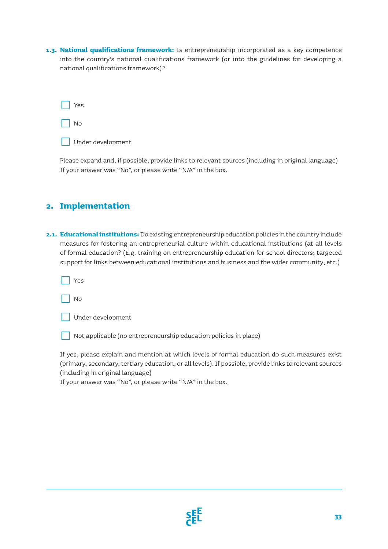**1.3. National qualifications framework:** Is entrepreneurship incorporated as a key competence into the country's national qualifications framework (or into the guidelines for developing a national qualifications framework)?

| Yes |   |
|-----|---|
| No  |   |
| ٠   | ٠ |

Under development

Please expand and, if possible, provide links to relevant sources (including in original language) If your answer was "No", or please write "N/A" in the box.

### **2. Implementation**

**2.1. Educational institutions:** Do existing entrepreneurship education policies in the country include measures for fostering an entrepreneurial culture within educational institutions (at all levels of formal education? (E.g. training on entrepreneurship education for school directors; targeted support for links between educational institutions and business and the wider community; etc.)

Yes

侊 No

Not applicable (no entrepreneurship education policies in place)

If yes, please explain and mention at which levels of formal education do such measures exist (primary, secondary, tertiary education, or all levels). If possible, provide links to relevant sources (including in original language)

If your answer was "No", or please write "N/A" in the box.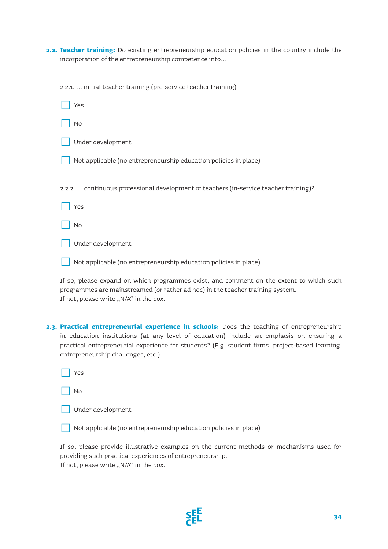**2.2. Teacher training:** Do existing entrepreneurship education policies in the country include the incorporation of the entrepreneurship competence into…

| 2.2.1.  initial teacher training (pre-service teacher training)                        |
|----------------------------------------------------------------------------------------|
| Yes                                                                                    |
| No                                                                                     |
| Under development                                                                      |
| Not applicable (no entrepreneurship education policies in place)                       |
| 2.2.2.  continuous professional development of teachers (in-service teacher training)? |
| Yes                                                                                    |
| No                                                                                     |
| Under development                                                                      |
| Not applicable (no entrepreneurship education policies in place)                       |
|                                                                                        |

If so, please expand on which programmes exist, and comment on the extent to which such programmes are mainstreamed (or rather ad hoc) in the teacher training system. If not, please write "N/A" in the box.

**2.3. Practical entrepreneurial experience in schools:** Does the teaching of entrepreneurship in education institutions (at any level of education) include an emphasis on ensuring a practical entrepreneurial experience for students? (E.g. student firms, project-based learning, entrepreneurship challenges, etc.).

| $\sim$<br>$\sim$ |
|------------------|
|------------------|

侊 No

| Under development |
|-------------------|
|                   |

Not applicable (no entrepreneurship education policies in place)

If so, please provide illustrative examples on the current methods or mechanisms used for providing such practical experiences of entrepreneurship. If not, please write "N/A" in the box.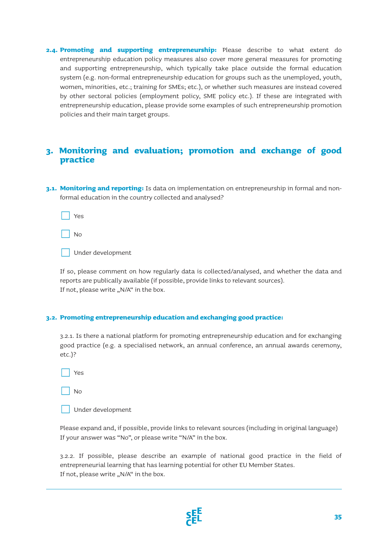**2.4. Promoting and supporting entrepreneurship:** Please describe to what extent do entrepreneurship education policy measures also cover more general measures for promoting and supporting entrepreneurship, which typically take place outside the formal education system (e.g. non-formal entrepreneurship education for groups such as the unemployed, youth, women, minorities, etc.; training for SMEs; etc.), or whether such measures are instead covered by other sectoral policies (employment policy, SME policy etc.). If these are integrated with entrepreneurship education, please provide some examples of such entrepreneurship promotion policies and their main target groups.

### **3. Monitoring and evaluation; promotion and exchange of good practice**

**3.1. Monitoring and reporting:** Is data on implementation on entrepreneurship in formal and nonformal education in the country collected and analysed?

Yes

侊 No

Under development

If so, please comment on how regularly data is collected/analysed, and whether the data and reports are publically available (if possible, provide links to relevant sources). If not, please write "N/A" in the box.

#### **3.2. Promoting entrepreneurship education and exchanging good practice:**

3.2.1. Is there a national platform for promoting entrepreneurship education and for exchanging good practice (e.g. a specialised network, an annual conference, an annual awards ceremony, etc.)?

Yes

侊 No

Please expand and, if possible, provide links to relevant sources (including in original language) If your answer was "No", or please write "N/A" in the box.

3.2.2. If possible, please describe an example of national good practice in the field of entrepreneurial learning that has learning potential for other EU Member States. If not, please write  $N/A$ " in the box.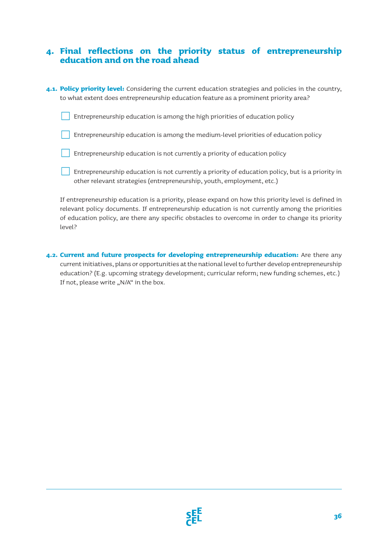### **4. Final reflections on the priority status of entrepreneurship education and on the road ahead**

**4.1. Policy priority level:** Considering the current education strategies and policies in the country, to what extent does entrepreneurship education feature as a prominent priority area?

Entrepreneurship education is among the high priorities of education policy

侊 Entrepreneurship education is among the medium-level priorities of education policy

侊 Entrepreneurship education is not currently a priority of education policy

侊 Entrepreneurship education is not currently a priority of education policy, but is a priority in other relevant strategies (entrepreneurship, youth, employment, etc.)

If entrepreneurship education is a priority, please expand on how this priority level is defined in relevant policy documents. If entrepreneurship education is not currently among the priorities of education policy, are there any specific obstacles to overcome in order to change its priority level?

**4.2. Current and future prospects for developing entrepreneurship education:** Are there any current initiatives, plans or opportunities at the national level to further develop entrepreneurship education? (E.g. upcoming strategy development; curricular reform; new funding schemes, etc.) If not, please write "N/A" in the box.